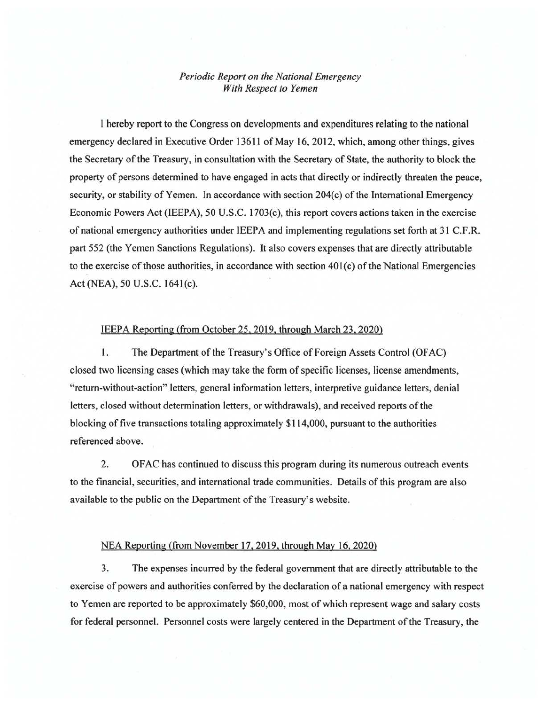## *Periodic Report on the National Emergency With Respect to Yemen*

I hereby report to the Congress on developments and expenditures relating to the national emergency declared in Executive Order 13611 of May 16, 2012, which, among other things, gives the Secretary of the Treasury, in consultation with the Secretary of State, the authority to block the property of persons determined to have engaged in acts that directly or indirectly threaten the peace, security, or stability of Yemen. In accordance with section 204(c) of the International Emergency Economic Powers Act (IEEPA), 50 U.S.C. 1703(c), this report covers actions taken in the exercise of national emergency authorities under IEEPA and implementing regulations set forth at 31 C.F.R. part 552 (the Yemen Sanctions Regulations). It also covers expenses that are directly attributable to the exercise of those authorities, in accordance with section  $401(c)$  of the National Emergencies Act (NEA), 50 U.S.C. 1641(c).

## IEEPA Reporting (from October 25, 2019, through March 23, 2020)

1. The Department of the Treasury's Office of Foreign Assets Control (OFAC) closed two licensing cases (which may take the form of specific licenses, license amendments, "return-without-action" letters, general information letters, interpretive guidance letters, denial letters, closed without determination letters, or withdrawals), and received reports of the blocking of five transactions totaling approximately \$114,000, pursuant to the authorities referenced above.

2. OF AC has continued to discuss this program during its numerous outreach events to the financial, securities, and international trade communities. Details of this program are also available to the public on the Department of the Treasury's website.

## NEA Reporting (from November 17,2019, through May 16, 2020)

3. The expenses incurred by the federal government that are directly attributable to the exercise of powers and authorities conferred by the declaration of a national emergency with respect to Yemen are reported to be approximately \$60,000, most of which represent wage and salary costs for federal personnel. Personnel costs were largely centered in the Department of the Treasury, the